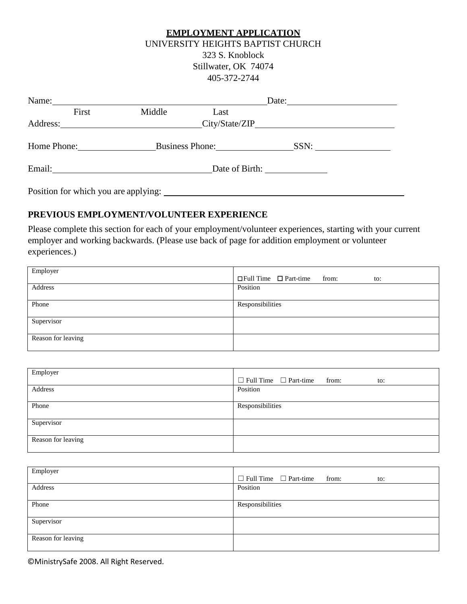#### **EMPLOYMENT APPLICATION**

### UNIVERSITY HEIGHTS BAPTIST CHURCH 323 S. Knoblock Stillwater, OK 74074

405-372-2744

| Name:       |       |                                        | Date:           |      |  |  |
|-------------|-------|----------------------------------------|-----------------|------|--|--|
|             | First | Middle                                 | Last            |      |  |  |
| Address:    |       |                                        |                 |      |  |  |
| Home Phone: |       |                                        | Business Phone: | SSN: |  |  |
|             |       |                                        |                 |      |  |  |
|             |       | Position for which you are applying: _ |                 |      |  |  |

# **PREVIOUS EMPLOYMENT/VOLUNTEER EXPERIENCE**

Please complete this section for each of your employment/volunteer experiences, starting with your current employer and working backwards. (Please use back of page for addition employment or volunteer experiences.)

| Employer           | $\Box$ Full Time $\Box$ Part-time<br>from:<br>to: |
|--------------------|---------------------------------------------------|
| Address            | Position                                          |
| Phone              | Responsibilities                                  |
| Supervisor         |                                                   |
| Reason for leaving |                                                   |

| Employer           | $\Box$ Full Time $\Box$ Part-time from:<br>to: |
|--------------------|------------------------------------------------|
| Address            | Position                                       |
| Phone              | Responsibilities                               |
| Supervisor         |                                                |
| Reason for leaving |                                                |

| Employer           | $\Box$ Full Time $\Box$ Part-time from:<br>to: |
|--------------------|------------------------------------------------|
| Address            | Position                                       |
| Phone              | Responsibilities                               |
| Supervisor         |                                                |
| Reason for leaving |                                                |

©MinistrySafe 2008. All Right Reserved.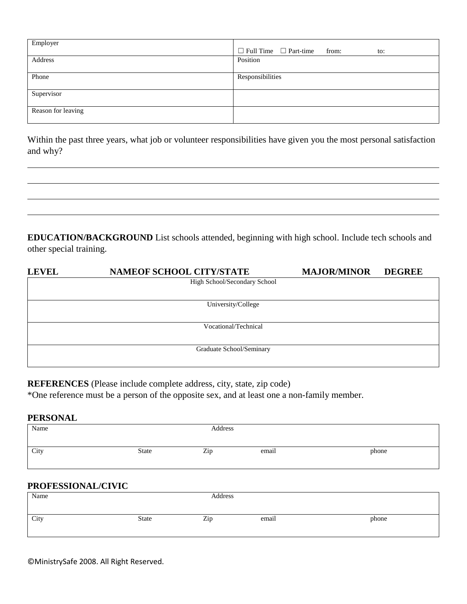| Employer           | $\Box$ Full Time $\Box$ Part-time from:<br>to: |
|--------------------|------------------------------------------------|
| Address            | Position                                       |
| Phone              | Responsibilities                               |
| Supervisor         |                                                |
| Reason for leaving |                                                |

Within the past three years, what job or volunteer responsibilities have given you the most personal satisfaction and why?

**EDUCATION/BACKGROUND** List schools attended, beginning with high school. Include tech schools and other special training.

| <b>LEVEL</b> | <b>NAMEOF SCHOOL CITY/STATE</b> | <b>MAJOR/MINOR</b> | <b>DEGREE</b> |
|--------------|---------------------------------|--------------------|---------------|
|              | High School/Secondary School    |                    |               |
|              |                                 |                    |               |
|              | University/College              |                    |               |
|              |                                 |                    |               |
|              | Vocational/Technical            |                    |               |
|              |                                 |                    |               |
|              | Graduate School/Seminary        |                    |               |
|              |                                 |                    |               |

**REFERENCES** (Please include complete address, city, state, zip code)

\*One reference must be a person of the opposite sex, and at least one a non-family member.

#### **PERSONAL**

| Name               | Address      |         |       |       |
|--------------------|--------------|---------|-------|-------|
|                    |              |         |       |       |
| City               | <b>State</b> | Zip     | email | phone |
|                    |              |         |       |       |
|                    |              |         |       |       |
| PROFESSIONAL/CIVIC |              |         |       |       |
| Name               |              | Address |       |       |
|                    |              |         |       |       |
| City               | <b>State</b> | Zip     | email | phone |

©MinistrySafe 2008. All Right Reserved.